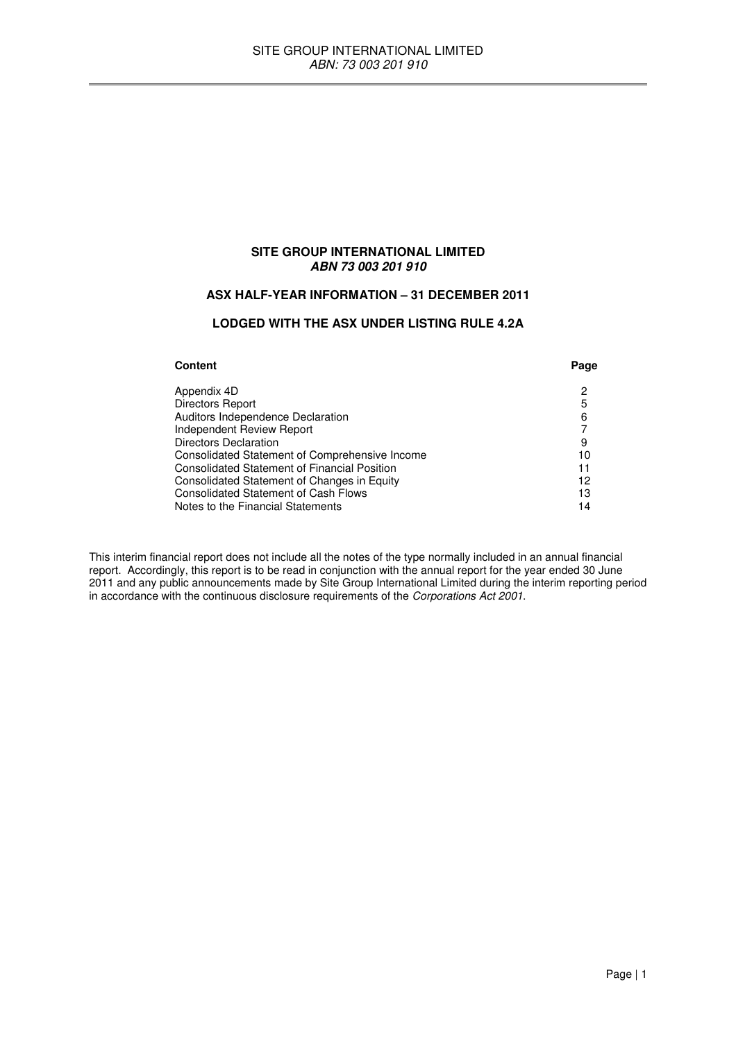# **SITE GROUP INTERNATIONAL LIMITED ABN 73 003 201 910**

# **ASX HALF-YEAR INFORMATION – 31 DECEMBER 2011**

### **LODGED WITH THE ASX UNDER LISTING RULE 4.2A**

| Content                                             | Page |
|-----------------------------------------------------|------|
| Appendix 4D                                         | 2    |
| Directors Report                                    | 5    |
| Auditors Independence Declaration                   | 6    |
| <b>Independent Review Report</b>                    |      |
| Directors Declaration                               | 9    |
| Consolidated Statement of Comprehensive Income      | 10   |
| <b>Consolidated Statement of Financial Position</b> | 11   |
| Consolidated Statement of Changes in Equity         | 12   |
| <b>Consolidated Statement of Cash Flows</b>         | 13   |
| Notes to the Financial Statements                   | 14   |

This interim financial report does not include all the notes of the type normally included in an annual financial report. Accordingly, this report is to be read in conjunction with the annual report for the year ended 30 June 2011 and any public announcements made by Site Group International Limited during the interim reporting period in accordance with the continuous disclosure requirements of the Corporations Act 2001.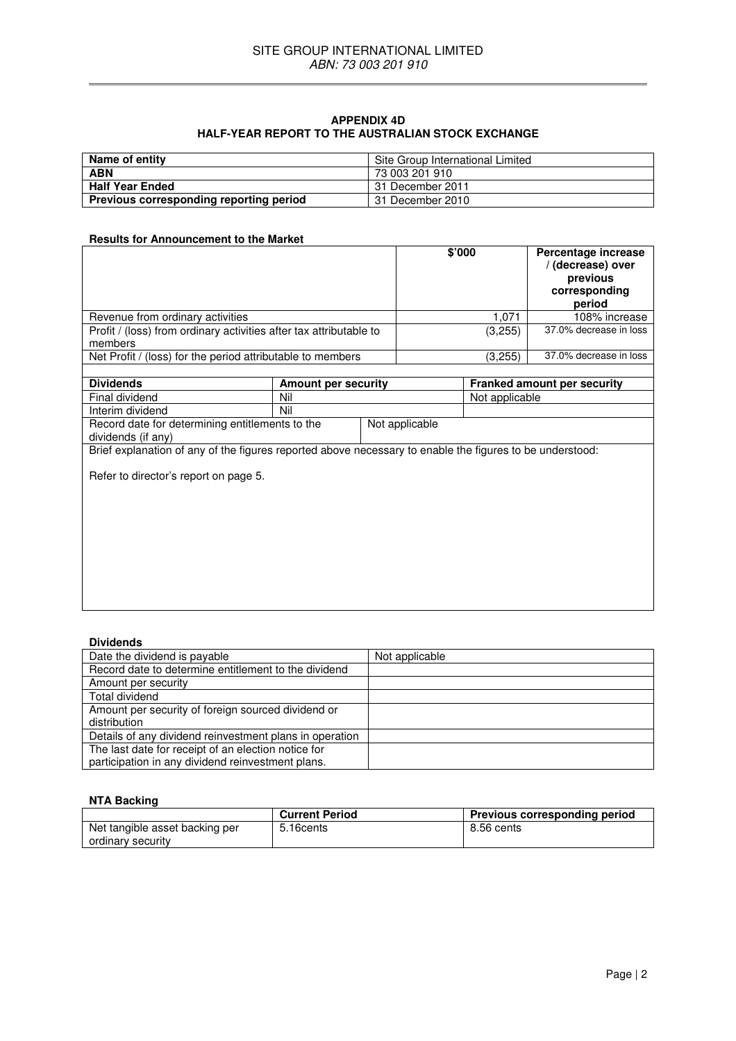### **APPENDIX 4D HALF-YEAR REPORT TO THE AUSTRALIAN STOCK EXCHANGE**

| Name of entity                          | Site Group International Limited |
|-----------------------------------------|----------------------------------|
| <b>ABN</b>                              | 73 003 201 910                   |
| <b>Half Year Ended</b>                  | l 31 December 2011               |
| Previous corresponding reporting period | 31 December 2010                 |

# **Results for Announcement to the Market**

|                                                                    | \$'000  | Percentage increase<br>/ (decrease) over<br>previous<br>corresponding<br>period |
|--------------------------------------------------------------------|---------|---------------------------------------------------------------------------------|
| Revenue from ordinary activities                                   | 1.071   | 108% increase                                                                   |
| Profit / (loss) from ordinary activities after tax attributable to | (3,255) | 37.0% decrease in loss                                                          |
| members                                                            |         |                                                                                 |
| Net Profit / (loss) for the period attributable to members         | (3,255) | 37.0% decrease in loss                                                          |
|                                                                    |         |                                                                                 |

| <b>Dividends</b>                                                                                         | Amount per security |                | Franked amount per security |
|----------------------------------------------------------------------------------------------------------|---------------------|----------------|-----------------------------|
| Final dividend                                                                                           | Nil                 |                | Not applicable              |
| Interim dividend                                                                                         | Nil                 |                |                             |
| Record date for determining entitlements to the<br>dividends (if any)                                    |                     | Not applicable |                             |
| Brief explanation of any of the figures reported above necessary to enable the figures to be understood: |                     |                |                             |
| Refer to director's report on page 5.                                                                    |                     |                |                             |

### **Dividends**

| Date the dividend is payable                            | Not applicable |
|---------------------------------------------------------|----------------|
| Record date to determine entitlement to the dividend    |                |
| Amount per security                                     |                |
| Total dividend                                          |                |
| Amount per security of foreign sourced dividend or      |                |
| distribution                                            |                |
| Details of any dividend reinvestment plans in operation |                |
| The last date for receipt of an election notice for     |                |
| participation in any dividend reinvestment plans.       |                |

# **NTA Backing**

|                                | <b>Current Period</b> | <b>Previous corresponding period</b> |
|--------------------------------|-----------------------|--------------------------------------|
| Net tangible asset backing per | 5.16cents             | 8.56 cents                           |
| ordinary security              |                       |                                      |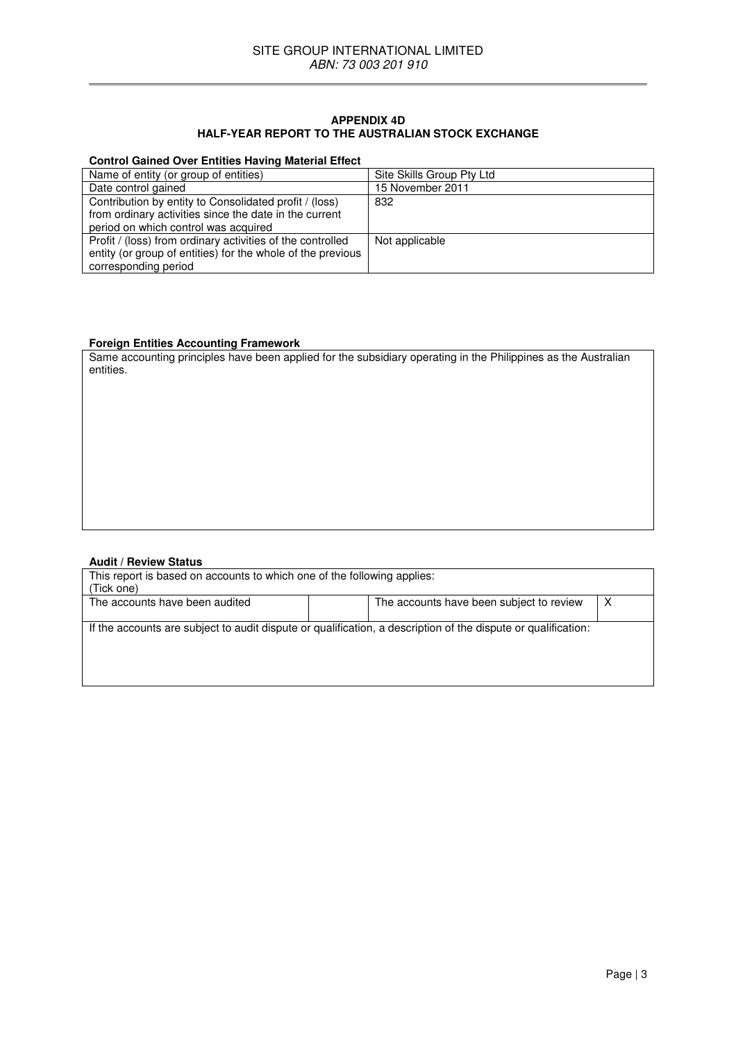### **APPENDIX 4D HALF-YEAR REPORT TO THE AUSTRALIAN STOCK EXCHANGE**

### **Control Gained Over Entities Having Material Effect**

| Name of entity (or group of entities)                       | Site Skills Group Pty Ltd |
|-------------------------------------------------------------|---------------------------|
| Date control gained                                         | 15 November 2011          |
| Contribution by entity to Consolidated profit / (loss)      | 832                       |
| from ordinary activities since the date in the current      |                           |
| period on which control was acquired                        |                           |
| Profit / (loss) from ordinary activities of the controlled  | Not applicable            |
| entity (or group of entities) for the whole of the previous |                           |
| corresponding period                                        |                           |

# **Foreign Entities Accounting Framework**

Same accounting principles have been applied for the subsidiary operating in the Philippines as the Australian entities.

### **Audit / Review Status**

| This report is based on accounts to which one of the following applies:<br>(Tick one)                         |                                          |  |
|---------------------------------------------------------------------------------------------------------------|------------------------------------------|--|
| The accounts have been audited                                                                                | The accounts have been subject to review |  |
| If the accounts are subject to audit dispute or qualification, a description of the dispute or qualification: |                                          |  |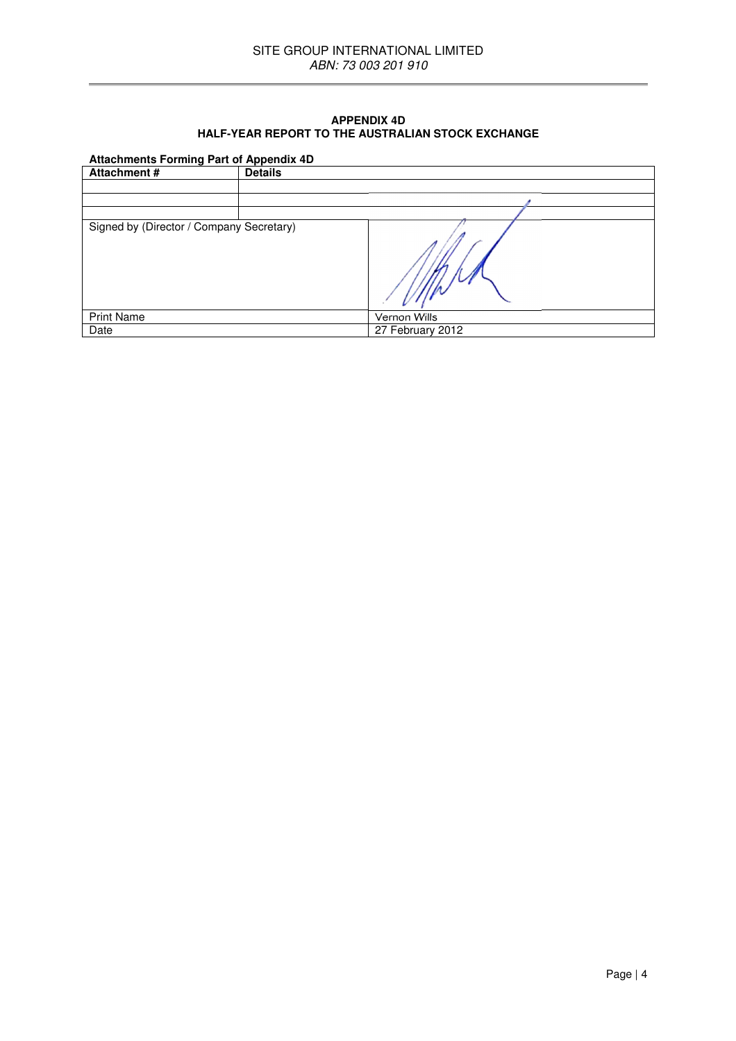### **APPENDIX 4D HALF-YEAR REPORT TO THE AUSTRALIAN STOCK EXCHANGE**

# **Attachments Forming Part of Appendix 4D**

| Attachment #                             | . .<br><b>Details</b> |                  |
|------------------------------------------|-----------------------|------------------|
|                                          |                       |                  |
|                                          |                       |                  |
|                                          |                       |                  |
| Signed by (Director / Company Secretary) |                       |                  |
| <b>Print Name</b>                        |                       | Vernon Wills     |
| Date                                     |                       | 27 February 2012 |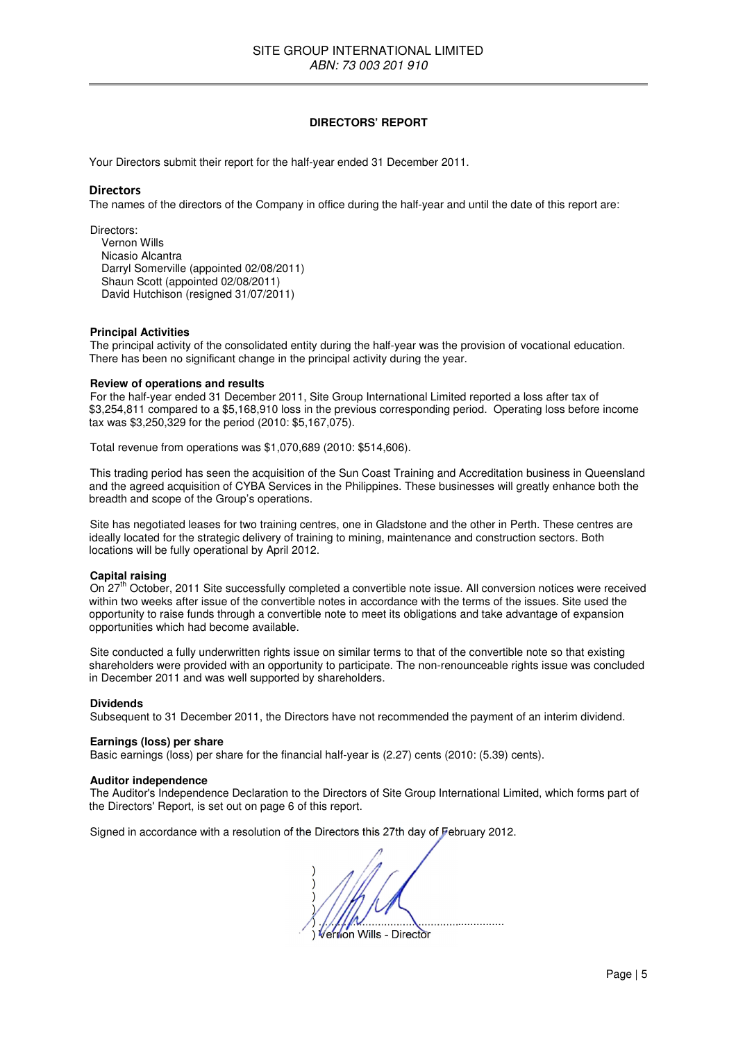### **DIRECTORS' REPORT**

Your Directors submit their report for the half-year ended 31 December 2011.

### **Directors**

The names of the directors of the Company in office during the half-year and until the date of this report are:

Directors: Vernon Wills Nicasio Alcantra Darryl Somerville (appointed 02/08/2011) Shaun Scott (appointed 02/08/2011) David Hutchison (resigned 31/07/2011)

### **Principal Activities**

The principal activity of the consolidated entity during the half-year was the provision of vocational education. There has been no significant change in the principal activity during the year.

#### **Review of operations and results**

For the half-year ended 31 December 2011, Site Group International Limited reported a loss after tax of \$3,254,811 compared to a \$5,168,910 loss in the previous corresponding period. Operating loss before income tax was \$3,250,329 for the period (2010: \$5,167,075).

Total revenue from operations was \$1,070,689 (2010: \$514,606).

This trading period has seen the acquisition of the Sun Coast Training and Accreditation business in Queensland and the agreed acquisition of CYBA Services in the Philippines. These businesses will greatly enhance both the breadth and scope of the Group's operations.

Site has negotiated leases for two training centres, one in Gladstone and the other in Perth. These centres are ideally located for the strategic delivery of training to mining, maintenance and construction sectors. Both locations will be fully operational by April 2012.

### **Capital raising**

On 27<sup>th</sup> October, 2011 Site successfully completed a convertible note issue. All conversion notices were received within two weeks after issue of the convertible notes in accordance with the terms of the issues. Site used the opportunity to raise funds through a convertible note to meet its obligations and take advantage of expansion opportunities which had become available.

Site conducted a fully underwritten rights issue on similar terms to that of the convertible note so that existing shareholders were provided with an opportunity to participate. The non-renounceable rights issue was concluded in December 2011 and was well supported by shareholders.

#### **Dividends**

Subsequent to 31 December 2011, the Directors have not recommended the payment of an interim dividend.

### **Earnings (loss) per share**

Basic earnings (loss) per share for the financial half-year is (2.27) cents (2010: (5.39) cents).

#### **Auditor independence**

The Auditor's Independence Declaration to the Directors of Site Group International Limited, which forms part of the Directors' Report, is set out on page 6 of this report.

Signed in accordance with a resolution of the Directors this 27th day of February 2012.

 $)$  $)$  $)$  $\mathcal{V}$  ) ............................................................ ) Vernon Wills - Director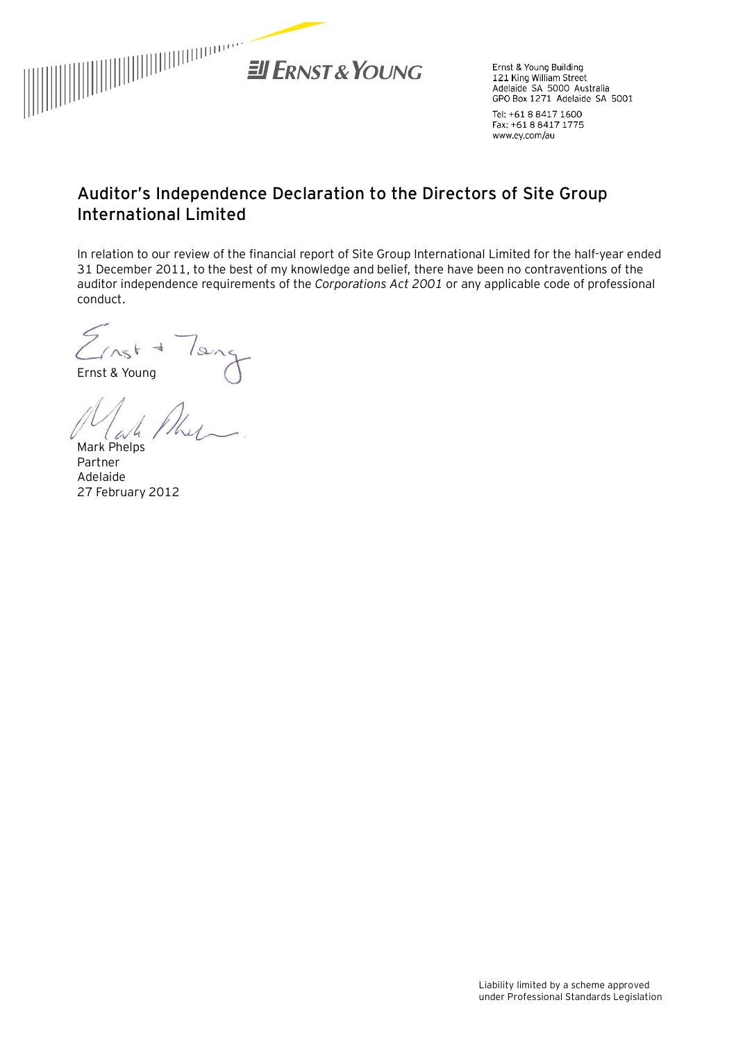

Ernst & Young Building 121 King William Street<br>Adelaide SA 5000 Australia GPO Box 1271 Adelaide SA 5001

Tel: +61 8 8417 1600 Fax: +61 8 8417 1775 www.ey.com/au

# **Auditor's Independence Declaration to the Directors of Site Group International Limited**

In relation to our review of the financial report of Site Group International Limited for the half-year ended 31 December 2011, to the best of my knowledge and belief, there have been no contraventions of the auditor independence requirements of the *Corporations Act 2001* or any applicable code of professional conduct.

lang  $C$ ast +

Ernst & Young

Mark Phelps

Partner Adelaide 27 February 2012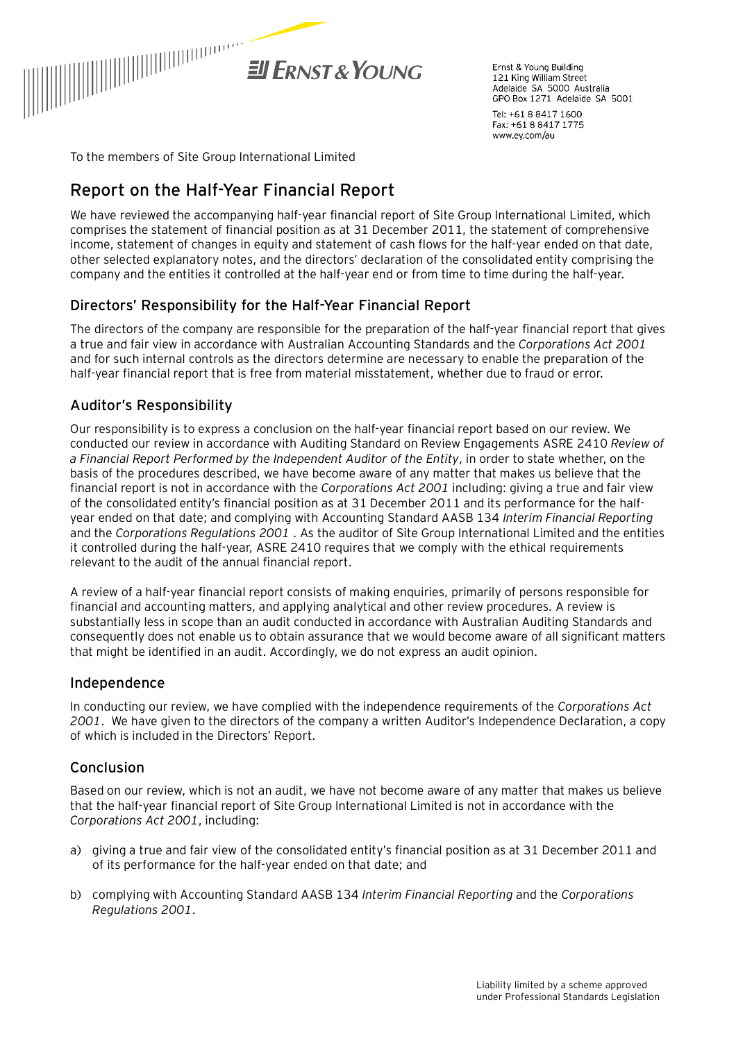

Frnst & Young Building 121 King William Street Adelaide SA 5000 Australia GPO Box 1271 Adelaide SA 5001

Tel: +61 8 8417 1600 Fax: +61 8 8417 1775 www.ey.com/au

To the members of Site Group International Limited

# **Report on the Half-Year Financial Report**

We have reviewed the accompanying half-year financial report of Site Group International Limited, which comprises the statement of financial position as at 31 December 2011, the statement of comprehensive income, statement of changes in equity and statement of cash flows for the half-year ended on that date, other selected explanatory notes, and the directors' declaration of the consolidated entity comprising the company and the entities it controlled at the half-year end or from time to time during the half-year.

# Directors' Responsibility for the Half-Year Financial Report

The directors of the company are responsible for the preparation of the half-year financial report that gives a true and fair view in accordance with Australian Accounting Standards and the *Corporations Act 2001* and for such internal controls as the directors determine are necessary to enable the preparation of the half-year financial report that is free from material misstatement, whether due to fraud or error.

# Auditor's Responsibility

Our responsibility is to express a conclusion on the half-year financial report based on our review. We conducted our review in accordance with Auditing Standard on Review Engagements ASRE 2410 *Review of a Financial Report Performed by the Independent Auditor of the Entity*, in order to state whether, on the basis of the procedures described, we have become aware of any matter that makes us believe that the financial report is not in accordance with the *Corporations Act 2001* including: giving a true and fair view of the consolidated entity's financial position as at 31 December 2011 and its performance for the halfyear ended on that date; and complying with Accounting Standard AASB 134 *Interim Financial Reporting* and the *Corporations Regulations 2001* . As the auditor of Site Group International Limited and the entities it controlled during the half-year, ASRE 2410 requires that we comply with the ethical requirements relevant to the audit of the annual financial report.

A review of a half-year financial report consists of making enquiries, primarily of persons responsible for financial and accounting matters, and applying analytical and other review procedures. A review is substantially less in scope than an audit conducted in accordance with Australian Auditing Standards and consequently does not enable us to obtain assurance that we would become aware of all significant matters that might be identified in an audit. Accordingly, we do not express an audit opinion.

# Independence

In conducting our review, we have complied with the independence requirements of the *Corporations Act 2001*. We have given to the directors of the company a written Auditor's Independence Declaration, a copy of which is included in the Directors' Report.

# Conclusion

Based on our review, which is not an audit, we have not become aware of any matter that makes us believe that the half-year financial report of Site Group International Limited is not in accordance with the *Corporations Act 2001*, including:

- a) giving a true and fair view of the consolidated entity's financial position as at 31 December 2011 and of its performance for the half-year ended on that date; and
- b) complying with Accounting Standard AASB 134 *Interim Financial Reporting* and the *Corporations Regulations 2001*.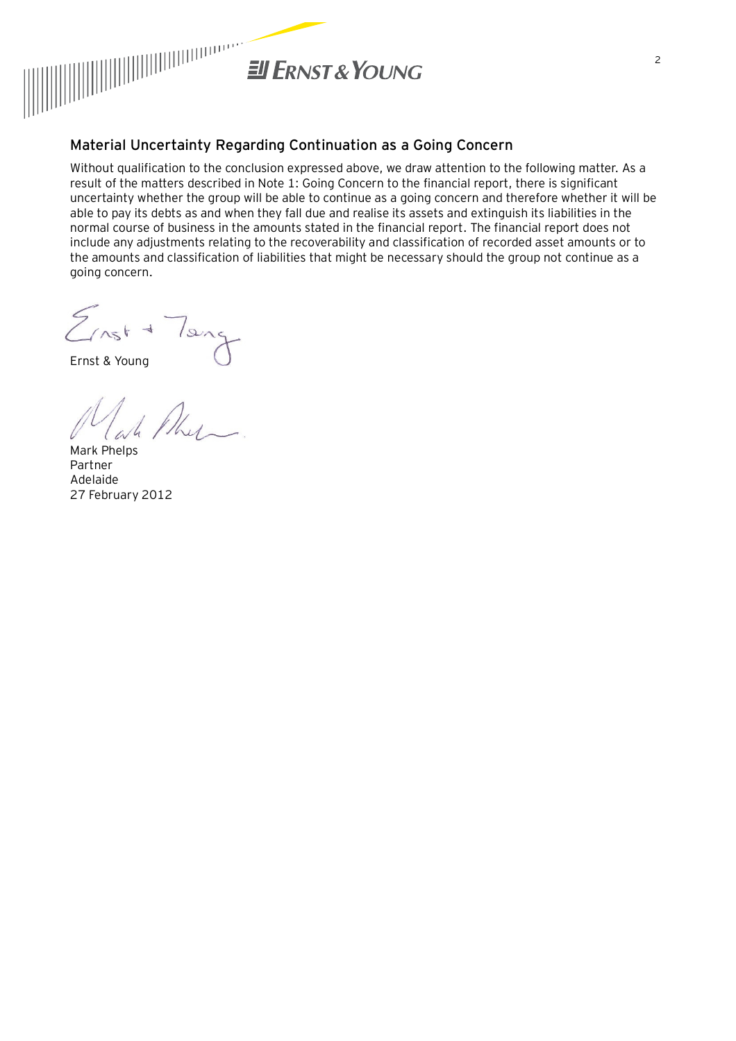

# **Material Uncertainty Regarding Continuation as a Going Concern**

Without qualification to the conclusion expressed above, we draw attention to the following matter. As a result of the matters described in Note 1: Going Concern to the financial report, there is significant uncertainty whether the group will be able to continue as a going concern and therefore whether it will be able to pay its debts as and when they fall due and realise its assets and extinguish its liabilities in the normal course of business in the amounts stated in the financial report. The financial report does not include any adjustments relating to the recoverability and classification of recorded asset amounts or to the amounts and classification of liabilities that might be necessary should the group not continue as a going concern.

 $Z_{nst}$  $|s\rangle$ 

Ernst & Young

Mark Phelps Partner Adelaide 27 February 2012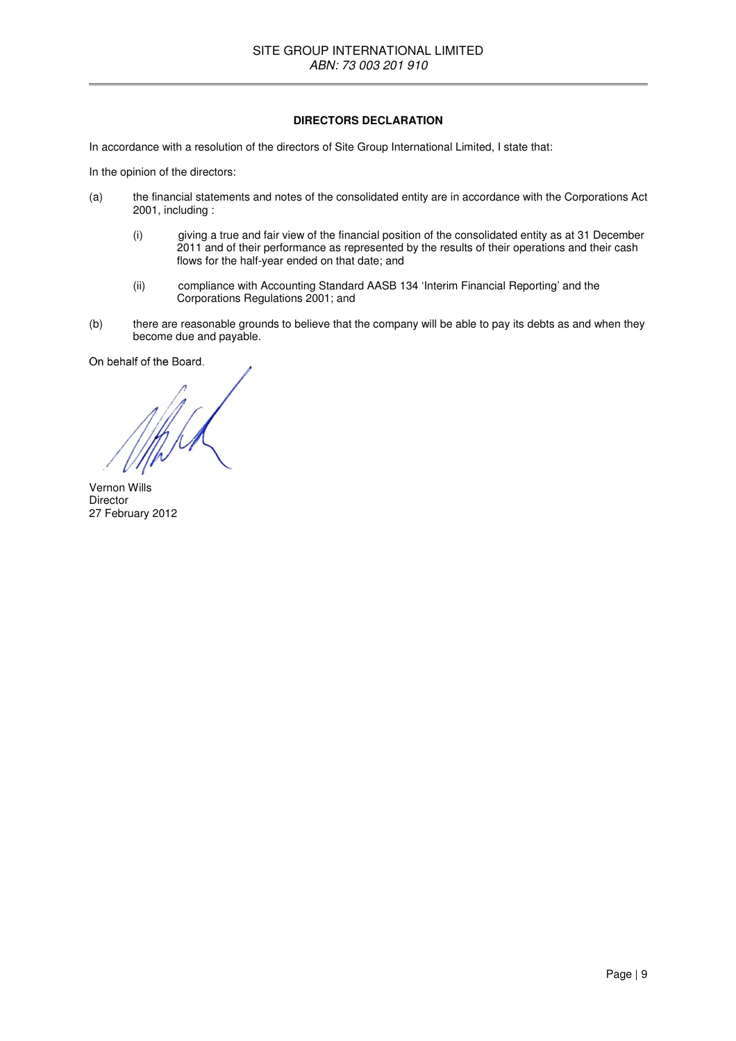### **DIRECTORS DECLARATION**

In accordance with a resolution of the directors of Site Group International Limited, I state that:

In the opinion of the directors:

- (a) the financial statements and notes of the consolidated entity are in accordance with the Corporations Act 2001, including :
	- (i) giving a true and fair view of the financial position of the consolidated entity as at 31 December 2011 and of their performance as represented by the results of their operations and their cash flows for the half-year ended on that date; and
	- (ii) compliance with Accounting Standard AASB 134 'Interim Financial Reporting' and the Corporations Regulations 2001; and
- (b) there are reasonable grounds to believe that the company will be able to pay its debts as and when they become due and payable.

On behalf of the Board.

Vernon Wills Director 27 February 2012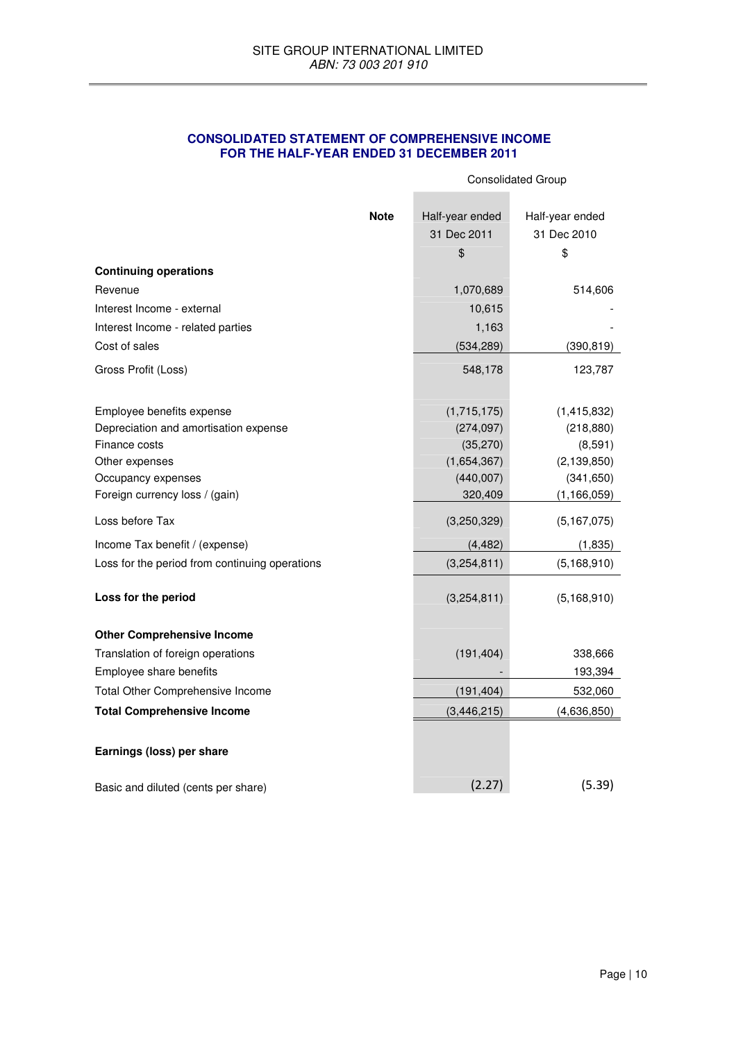# **CONSOLIDATED STATEMENT OF COMPREHENSIVE INCOME FOR THE HALF-YEAR ENDED 31 DECEMBER 2011**

|                                                |                 | <b>Consolidated Group</b> |  |  |
|------------------------------------------------|-----------------|---------------------------|--|--|
|                                                |                 |                           |  |  |
| <b>Note</b>                                    | Half-year ended | Half-year ended           |  |  |
|                                                | 31 Dec 2011     | 31 Dec 2010               |  |  |
|                                                | \$              | \$                        |  |  |
| <b>Continuing operations</b>                   |                 |                           |  |  |
| Revenue                                        | 1,070,689       | 514,606                   |  |  |
| Interest Income - external                     | 10,615          |                           |  |  |
| Interest Income - related parties              | 1,163           |                           |  |  |
| Cost of sales                                  | (534, 289)      | (390, 819)                |  |  |
| Gross Profit (Loss)                            | 548,178         | 123,787                   |  |  |
| Employee benefits expense                      | (1,715,175)     | (1,415,832)               |  |  |
| Depreciation and amortisation expense          | (274, 097)      | (218, 880)                |  |  |
| Finance costs                                  | (35, 270)       | (8,591)                   |  |  |
| Other expenses                                 | (1,654,367)     | (2, 139, 850)             |  |  |
| Occupancy expenses                             | (440,007)       | (341, 650)                |  |  |
| Foreign currency loss / (gain)                 | 320,409         | (1, 166, 059)             |  |  |
| Loss before Tax                                | (3,250,329)     | (5, 167, 075)             |  |  |
| Income Tax benefit / (expense)                 | (4, 482)        | (1,835)                   |  |  |
| Loss for the period from continuing operations | (3,254,811)     | (5, 168, 910)             |  |  |
| Loss for the period                            | (3,254,811)     | (5, 168, 910)             |  |  |
| <b>Other Comprehensive Income</b>              |                 |                           |  |  |
| Translation of foreign operations              | (191, 404)      | 338,666                   |  |  |
| Employee share benefits                        |                 | 193,394                   |  |  |
| Total Other Comprehensive Income               | (191, 404)      | 532,060                   |  |  |
| <b>Total Comprehensive Income</b>              | (3, 446, 215)   | (4,636,850)               |  |  |
| Earnings (loss) per share                      |                 |                           |  |  |
| Basic and diluted (cents per share)            | (2.27)          | (5.39)                    |  |  |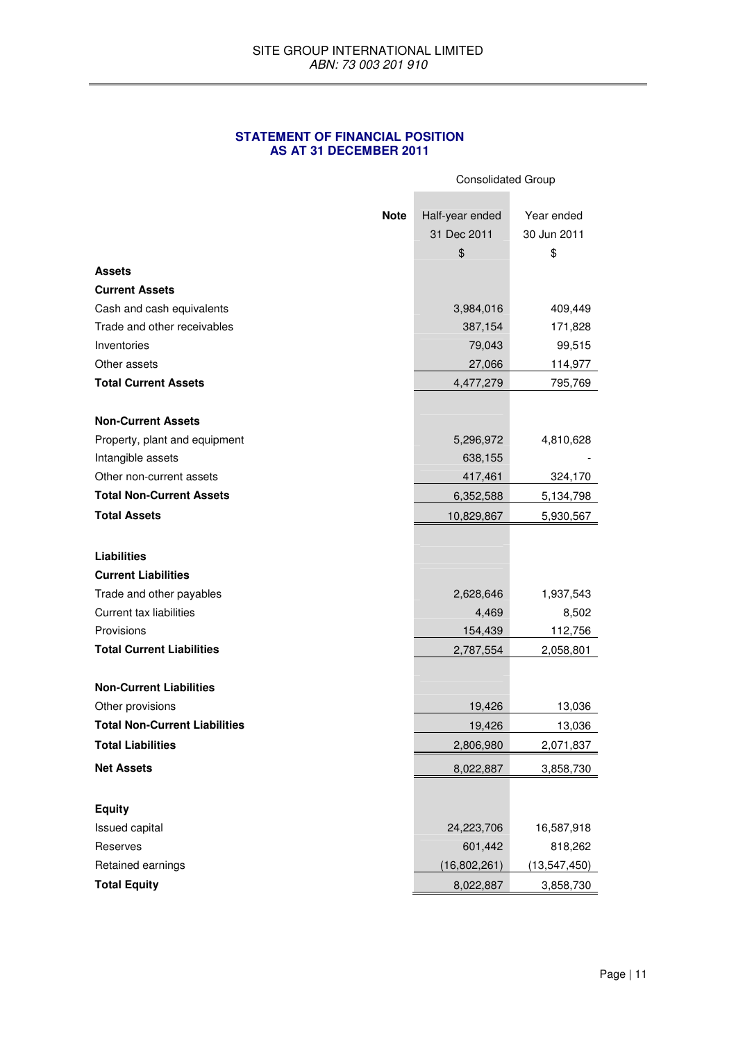### **STATEMENT OF FINANCIAL POSITION AS AT 31 DECEMBER 2011**

|                                                            |             | <b>Consolidated Group</b> |                  |  |
|------------------------------------------------------------|-------------|---------------------------|------------------|--|
|                                                            | <b>Note</b> | Half-year ended           | Year ended       |  |
|                                                            |             | 31 Dec 2011               | 30 Jun 2011      |  |
|                                                            |             | \$                        | \$               |  |
| <b>Assets</b>                                              |             |                           |                  |  |
| <b>Current Assets</b>                                      |             |                           |                  |  |
| Cash and cash equivalents                                  |             | 3,984,016                 | 409,449          |  |
| Trade and other receivables                                |             | 387,154                   | 171,828          |  |
| Inventories                                                |             | 79,043                    | 99,515           |  |
| Other assets                                               |             | 27,066                    | 114,977          |  |
| <b>Total Current Assets</b>                                |             | 4,477,279                 | 795,769          |  |
| <b>Non-Current Assets</b>                                  |             |                           |                  |  |
| Property, plant and equipment                              |             | 5,296,972                 | 4,810,628        |  |
| Intangible assets                                          |             | 638,155                   |                  |  |
| Other non-current assets                                   |             | 417,461                   | 324,170          |  |
| <b>Total Non-Current Assets</b>                            |             | 6,352,588                 | 5,134,798        |  |
| <b>Total Assets</b>                                        |             | 10,829,867                | 5,930,567        |  |
| <b>Liabilities</b>                                         |             |                           |                  |  |
| <b>Current Liabilities</b>                                 |             |                           |                  |  |
|                                                            |             |                           |                  |  |
| Trade and other payables<br><b>Current tax liabilities</b> |             | 2,628,646<br>4,469        | 1,937,543        |  |
| Provisions                                                 |             | 154,439                   | 8,502<br>112,756 |  |
| <b>Total Current Liabilities</b>                           |             | 2,787,554                 | 2,058,801        |  |
|                                                            |             |                           |                  |  |
| <b>Non-Current Liabilities</b>                             |             |                           |                  |  |
| Other provisions                                           |             | 19,426                    | 13,036           |  |
| <b>Total Non-Current Liabilities</b>                       |             | 19,426                    | 13,036           |  |
| <b>Total Liabilities</b>                                   |             | 2,806,980                 | 2,071,837        |  |
| <b>Net Assets</b>                                          |             | 8,022,887                 | 3,858,730        |  |
|                                                            |             |                           |                  |  |
| <b>Equity</b>                                              |             |                           |                  |  |
| Issued capital                                             |             | 24,223,706                | 16,587,918       |  |
| Reserves                                                   |             | 601,442                   | 818,262          |  |
| Retained earnings                                          |             | (16,802,261)              | (13, 547, 450)   |  |
| <b>Total Equity</b>                                        |             | 8,022,887                 | 3,858,730        |  |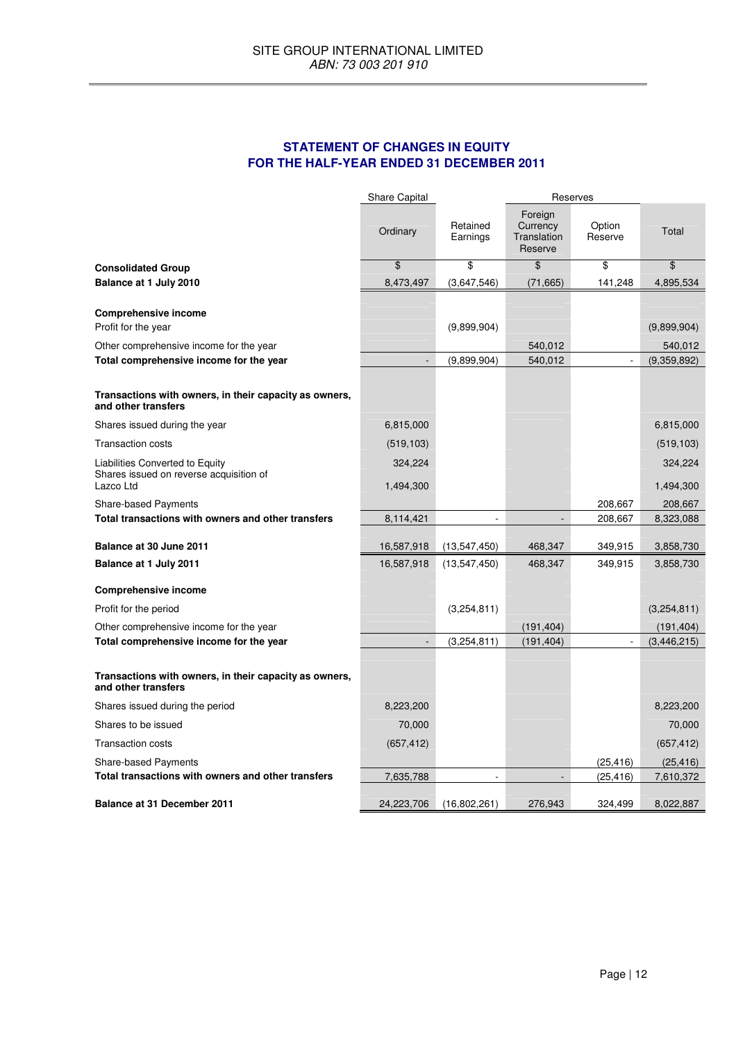# **STATEMENT OF CHANGES IN EQUITY FOR THE HALF-YEAR ENDED 31 DECEMBER 2011**

|                                                                               | <b>Share Capital</b> |                      |                                               | Reserves          |               |
|-------------------------------------------------------------------------------|----------------------|----------------------|-----------------------------------------------|-------------------|---------------|
|                                                                               | Ordinary             | Retained<br>Earnings | Foreign<br>Currency<br>Translation<br>Reserve | Option<br>Reserve | Total         |
| <b>Consolidated Group</b>                                                     | \$                   | \$                   | \$                                            | \$                | $\frac{1}{2}$ |
| Balance at 1 July 2010                                                        | 8,473,497            | (3,647,546)          | (71, 665)                                     | 141,248           | 4,895,534     |
| <b>Comprehensive income</b><br>Profit for the year                            |                      | (9,899,904)          |                                               |                   | (9,899,904)   |
| Other comprehensive income for the year                                       |                      |                      | 540,012                                       |                   | 540,012       |
| Total comprehensive income for the year                                       |                      | (9,899,904)          | 540,012                                       |                   | (9,359,892)   |
| Transactions with owners, in their capacity as owners,<br>and other transfers |                      |                      |                                               |                   |               |
| Shares issued during the year                                                 | 6,815,000            |                      |                                               |                   | 6,815,000     |
| <b>Transaction costs</b>                                                      | (519, 103)           |                      |                                               |                   | (519, 103)    |
| Liabilities Converted to Equity                                               | 324,224              |                      |                                               |                   | 324,224       |
| Shares issued on reverse acquisition of<br>Lazco Ltd                          | 1,494,300            |                      |                                               |                   | 1,494,300     |
| Share-based Payments                                                          |                      |                      |                                               | 208,667           | 208,667       |
| Total transactions with owners and other transfers                            | 8,114,421            | ÷,                   | $\overline{\phantom{a}}$                      | 208,667           | 8,323,088     |
| Balance at 30 June 2011                                                       | 16,587,918           | (13, 547, 450)       | 468,347                                       | 349,915           | 3,858,730     |
| Balance at 1 July 2011                                                        | 16,587,918           | (13, 547, 450)       | 468,347                                       | 349,915           | 3,858,730     |
| <b>Comprehensive income</b>                                                   |                      |                      |                                               |                   |               |
| Profit for the period                                                         |                      | (3,254,811)          |                                               |                   | (3,254,811)   |
| Other comprehensive income for the year                                       |                      |                      | (191, 404)                                    |                   | (191, 404)    |
| Total comprehensive income for the year                                       | $\overline{a}$       | (3,254,811)          | (191, 404)                                    |                   | (3,446,215)   |
| Transactions with owners, in their capacity as owners,<br>and other transfers |                      |                      |                                               |                   |               |
| Shares issued during the period                                               | 8,223,200            |                      |                                               |                   | 8,223,200     |
| Shares to be issued                                                           | 70,000               |                      |                                               |                   | 70,000        |
| <b>Transaction costs</b>                                                      | (657, 412)           |                      |                                               |                   | (657, 412)    |
| <b>Share-based Payments</b>                                                   |                      |                      |                                               | (25, 416)         | (25, 416)     |
| Total transactions with owners and other transfers                            | 7,635,788            | ä,                   | $\overline{a}$                                | (25, 416)         | 7,610,372     |
| <b>Balance at 31 December 2011</b>                                            | 24,223,706           | (16,802,261)         | 276,943                                       | 324,499           | 8,022,887     |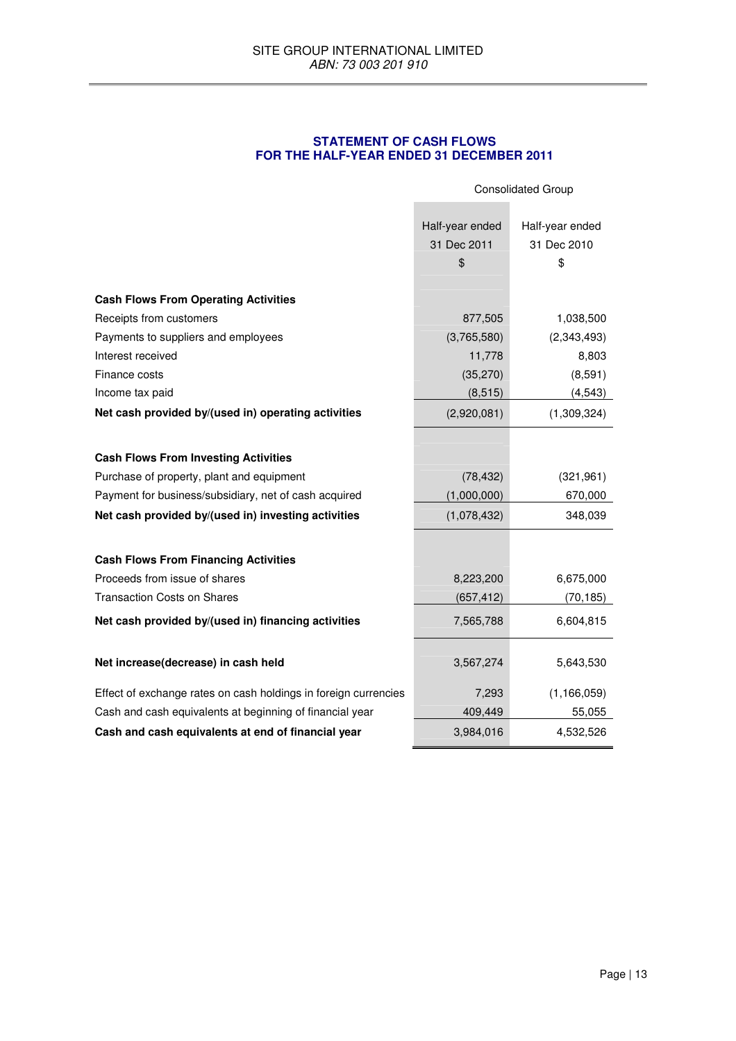# **STATEMENT OF CASH FLOWS FOR THE HALF-YEAR ENDED 31 DECEMBER 2011**

|                                                                 | <b>Consolidated Group</b>                                                    |                  |
|-----------------------------------------------------------------|------------------------------------------------------------------------------|------------------|
|                                                                 | Half-year ended<br>Half-year ended<br>31 Dec 2011<br>31 Dec 2010<br>\$<br>\$ |                  |
|                                                                 |                                                                              |                  |
| <b>Cash Flows From Operating Activities</b>                     |                                                                              |                  |
| Receipts from customers                                         | 877,505                                                                      | 1,038,500        |
| Payments to suppliers and employees<br>Interest received        | (3,765,580)<br>11,778                                                        | (2,343,493)      |
| Finance costs                                                   | (35, 270)                                                                    | 8,803<br>(8,591) |
| Income tax paid                                                 | (8, 515)                                                                     | (4, 543)         |
| Net cash provided by/(used in) operating activities             | (2,920,081)                                                                  | (1,309,324)      |
|                                                                 |                                                                              |                  |
|                                                                 |                                                                              |                  |
| <b>Cash Flows From Investing Activities</b>                     |                                                                              |                  |
| Purchase of property, plant and equipment                       | (78, 432)                                                                    | (321, 961)       |
| Payment for business/subsidiary, net of cash acquired           | (1,000,000)                                                                  | 670,000          |
| Net cash provided by/(used in) investing activities             | (1,078,432)                                                                  | 348,039          |
|                                                                 |                                                                              |                  |
| <b>Cash Flows From Financing Activities</b>                     |                                                                              |                  |
| Proceeds from issue of shares                                   | 8,223,200                                                                    | 6,675,000        |
| <b>Transaction Costs on Shares</b>                              | (657, 412)                                                                   | (70, 185)        |
| Net cash provided by/(used in) financing activities             | 7,565,788                                                                    | 6,604,815        |
| Net increase(decrease) in cash held                             | 3,567,274                                                                    | 5,643,530        |
| Effect of exchange rates on cash holdings in foreign currencies | 7,293                                                                        | (1, 166, 059)    |
| Cash and cash equivalents at beginning of financial year        | 409,449                                                                      | 55,055           |
| Cash and cash equivalents at end of financial year              | 3,984,016                                                                    | 4,532,526        |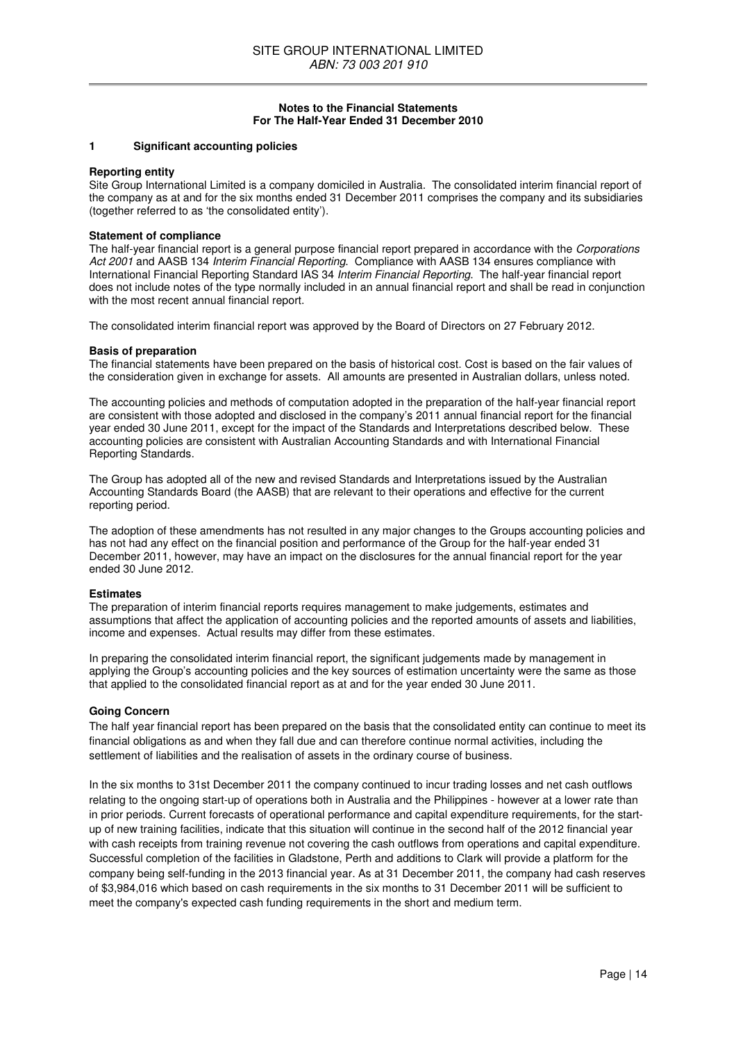### **Notes to the Financial Statements For The Half-Year Ended 31 December 2010**

### **1 Significant accounting policies**

### **Reporting entity**

Site Group International Limited is a company domiciled in Australia. The consolidated interim financial report of the company as at and for the six months ended 31 December 2011 comprises the company and its subsidiaries (together referred to as 'the consolidated entity').

### **Statement of compliance**

The half-year financial report is a general purpose financial report prepared in accordance with the Corporations Act 2001 and AASB 134 Interim Financial Reporting. Compliance with AASB 134 ensures compliance with International Financial Reporting Standard IAS 34 Interim Financial Reporting. The half-year financial report does not include notes of the type normally included in an annual financial report and shall be read in conjunction with the most recent annual financial report.

The consolidated interim financial report was approved by the Board of Directors on 27 February 2012.

#### **Basis of preparation**

The financial statements have been prepared on the basis of historical cost. Cost is based on the fair values of the consideration given in exchange for assets. All amounts are presented in Australian dollars, unless noted.

The accounting policies and methods of computation adopted in the preparation of the half-year financial report are consistent with those adopted and disclosed in the company's 2011 annual financial report for the financial year ended 30 June 2011, except for the impact of the Standards and Interpretations described below. These accounting policies are consistent with Australian Accounting Standards and with International Financial Reporting Standards.

The Group has adopted all of the new and revised Standards and Interpretations issued by the Australian Accounting Standards Board (the AASB) that are relevant to their operations and effective for the current reporting period.

The adoption of these amendments has not resulted in any major changes to the Groups accounting policies and has not had any effect on the financial position and performance of the Group for the half-year ended 31 December 2011, however, may have an impact on the disclosures for the annual financial report for the year ended 30 June 2012.

#### **Estimates**

The preparation of interim financial reports requires management to make judgements, estimates and assumptions that affect the application of accounting policies and the reported amounts of assets and liabilities, income and expenses. Actual results may differ from these estimates.

In preparing the consolidated interim financial report, the significant judgements made by management in applying the Group's accounting policies and the key sources of estimation uncertainty were the same as those that applied to the consolidated financial report as at and for the year ended 30 June 2011.

### **Going Concern**

The half year financial report has been prepared on the basis that the consolidated entity can continue to meet its financial obligations as and when they fall due and can therefore continue normal activities, including the settlement of liabilities and the realisation of assets in the ordinary course of business.

In the six months to 31st December 2011 the company continued to incur trading losses and net cash outflows relating to the ongoing start-up of operations both in Australia and the Philippines - however at a lower rate than in prior periods. Current forecasts of operational performance and capital expenditure requirements, for the startup of new training facilities, indicate that this situation will continue in the second half of the 2012 financial year with cash receipts from training revenue not covering the cash outflows from operations and capital expenditure. Successful completion of the facilities in Gladstone, Perth and additions to Clark will provide a platform for the company being self-funding in the 2013 financial year. As at 31 December 2011, the company had cash reserves of \$3,984,016 which based on cash requirements in the six months to 31 December 2011 will be sufficient to meet the company's expected cash funding requirements in the short and medium term.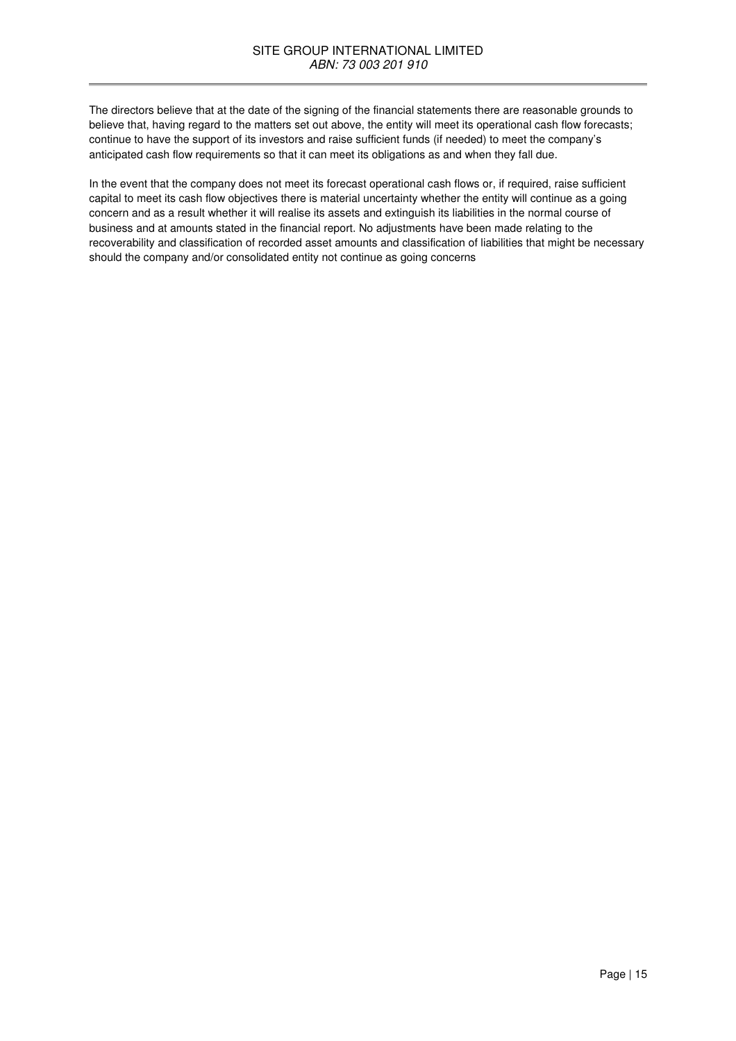The directors believe that at the date of the signing of the financial statements there are reasonable grounds to believe that, having regard to the matters set out above, the entity will meet its operational cash flow forecasts; continue to have the support of its investors and raise sufficient funds (if needed) to meet the company's anticipated cash flow requirements so that it can meet its obligations as and when they fall due.

In the event that the company does not meet its forecast operational cash flows or, if required, raise sufficient capital to meet its cash flow objectives there is material uncertainty whether the entity will continue as a going concern and as a result whether it will realise its assets and extinguish its liabilities in the normal course of business and at amounts stated in the financial report. No adjustments have been made relating to the recoverability and classification of recorded asset amounts and classification of liabilities that might be necessary should the company and/or consolidated entity not continue as going concerns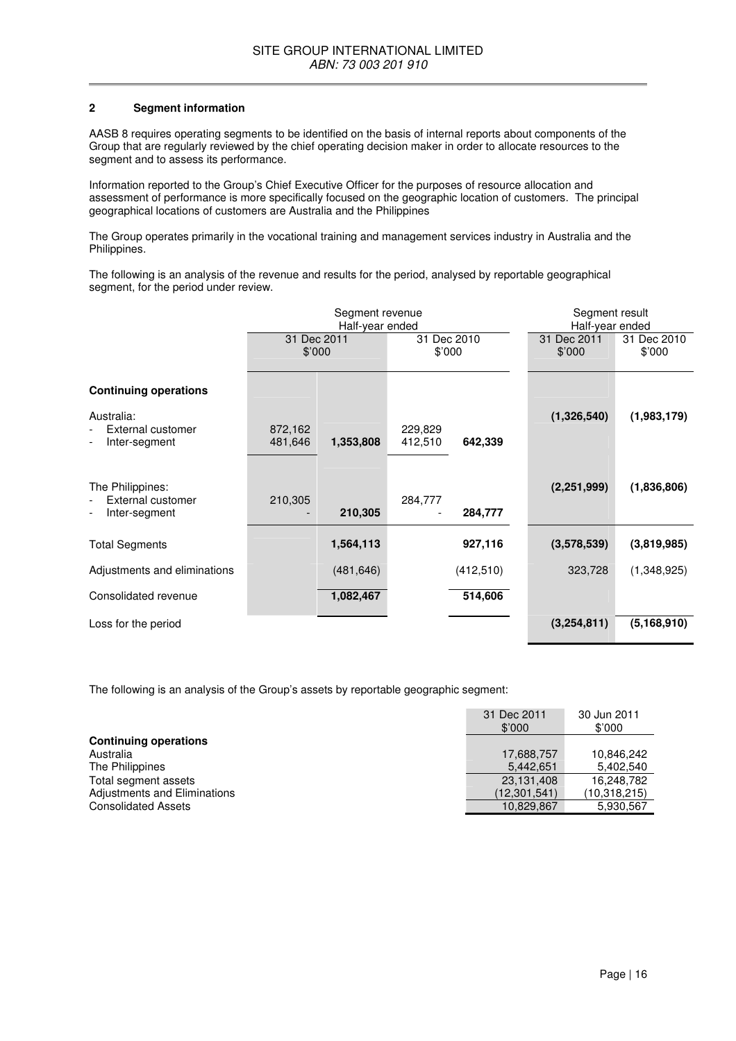### **2 Segment information**

AASB 8 requires operating segments to be identified on the basis of internal reports about components of the Group that are regularly reviewed by the chief operating decision maker in order to allocate resources to the segment and to assess its performance.

Information reported to the Group's Chief Executive Officer for the purposes of resource allocation and assessment of performance is more specifically focused on the geographic location of customers. The principal geographical locations of customers are Australia and the Philippines

The Group operates primarily in the vocational training and management services industry in Australia and the Philippines.

The following is an analysis of the revenue and results for the period, analysed by reportable geographical segment, for the period under review.

|                                                        | Segment revenue<br>Half-year ended |            | Segment result<br>Half-year ended |            |                       |                       |
|--------------------------------------------------------|------------------------------------|------------|-----------------------------------|------------|-----------------------|-----------------------|
|                                                        | 31 Dec 2011                        | \$'000     | 31 Dec 2010<br>\$'000             |            | 31 Dec 2011<br>\$'000 | 31 Dec 2010<br>\$'000 |
| <b>Continuing operations</b>                           |                                    |            |                                   |            |                       |                       |
| Australia:<br>External customer<br>Inter-segment       | 872,162<br>481,646                 | 1,353,808  | 229,829<br>412,510                | 642,339    | (1,326,540)           | (1,983,179)           |
| The Philippines:<br>External customer<br>Inter-segment | 210,305                            | 210,305    | 284,777                           | 284,777    | (2,251,999)           | (1,836,806)           |
| <b>Total Segments</b>                                  |                                    | 1,564,113  |                                   | 927,116    | (3,578,539)           | (3,819,985)           |
| Adjustments and eliminations                           |                                    | (481, 646) |                                   | (412, 510) | 323,728               | (1,348,925)           |
| Consolidated revenue                                   |                                    | 1,082,467  |                                   | 514,606    |                       |                       |
| Loss for the period                                    |                                    |            |                                   |            | (3,254,811)           | (5, 168, 910)         |

The following is an analysis of the Group's assets by reportable geographic segment:

|                              | 31 Dec 2011<br>\$'000 | 30 Jun 2011<br>\$'000 |
|------------------------------|-----------------------|-----------------------|
| <b>Continuing operations</b> |                       |                       |
| Australia                    | 17,688,757            | 10,846,242            |
| The Philippines              | 5.442.651             | 5,402,540             |
| Total segment assets         | 23,131,408            | 16,248,782            |
| Adjustments and Eliminations | (12,301,541)          | (10, 318, 215)        |
| <b>Consolidated Assets</b>   | 10,829,867            | 5,930,567             |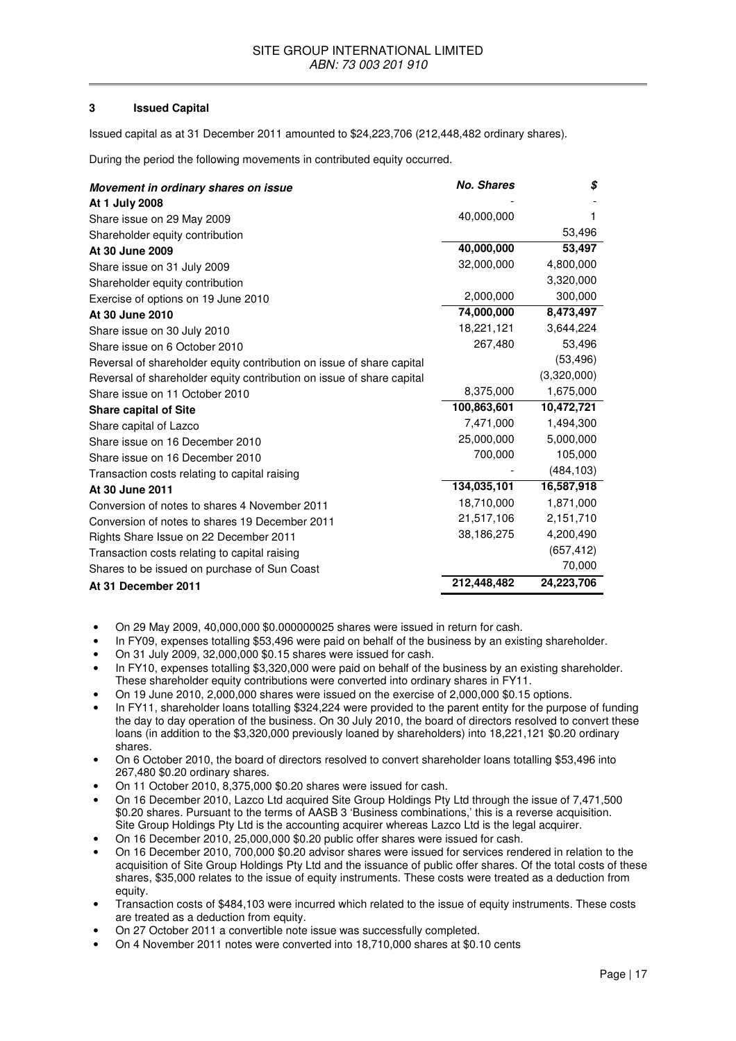### **3 Issued Capital**

Issued capital as at 31 December 2011 amounted to \$24,223,706 (212,448,482 ordinary shares).

During the period the following movements in contributed equity occurred.

| Movement in ordinary shares on issue                                  | <b>No. Shares</b> | \$          |
|-----------------------------------------------------------------------|-------------------|-------------|
| At 1 July 2008                                                        |                   |             |
| Share issue on 29 May 2009                                            | 40,000,000        |             |
| Shareholder equity contribution                                       |                   | 53,496      |
| At 30 June 2009                                                       | 40,000,000        | 53,497      |
| Share issue on 31 July 2009                                           | 32,000,000        | 4,800,000   |
| Shareholder equity contribution                                       |                   | 3,320,000   |
| Exercise of options on 19 June 2010                                   | 2,000,000         | 300,000     |
| At 30 June 2010                                                       | 74,000,000        | 8,473,497   |
| Share issue on 30 July 2010                                           | 18,221,121        | 3,644,224   |
| Share issue on 6 October 2010                                         | 267,480           | 53,496      |
| Reversal of shareholder equity contribution on issue of share capital |                   | (53, 496)   |
| Reversal of shareholder equity contribution on issue of share capital |                   | (3,320,000) |
| Share issue on 11 October 2010                                        | 8,375,000         | 1,675,000   |
| <b>Share capital of Site</b>                                          | 100,863,601       | 10,472,721  |
| Share capital of Lazco                                                | 7,471,000         | 1,494,300   |
| Share issue on 16 December 2010                                       | 25,000,000        | 5,000,000   |
| Share issue on 16 December 2010                                       | 700,000           | 105,000     |
| Transaction costs relating to capital raising                         |                   | (484, 103)  |
| At 30 June 2011                                                       | 134,035,101       | 16,587,918  |
| Conversion of notes to shares 4 November 2011                         | 18,710,000        | 1,871,000   |
| Conversion of notes to shares 19 December 2011                        | 21,517,106        | 2,151,710   |
| Rights Share Issue on 22 December 2011                                | 38,186,275        | 4,200,490   |
| Transaction costs relating to capital raising                         |                   | (657, 412)  |
| Shares to be issued on purchase of Sun Coast                          |                   | 70,000      |
| At 31 December 2011                                                   | 212,448,482       | 24,223,706  |

- On 29 May 2009, 40,000,000 \$0.000000025 shares were issued in return for cash.
- In FY09, expenses totalling \$53,496 were paid on behalf of the business by an existing shareholder.
- On 31 July 2009, 32,000,000 \$0.15 shares were issued for cash.
- In FY10, expenses totalling \$3,320,000 were paid on behalf of the business by an existing shareholder. These shareholder equity contributions were converted into ordinary shares in FY11.
- On 19 June 2010, 2,000,000 shares were issued on the exercise of 2,000,000 \$0.15 options.
- In FY11, shareholder loans totalling \$324,224 were provided to the parent entity for the purpose of funding the day to day operation of the business. On 30 July 2010, the board of directors resolved to convert these loans (in addition to the \$3,320,000 previously loaned by shareholders) into 18,221,121 \$0.20 ordinary shares.
- On 6 October 2010, the board of directors resolved to convert shareholder loans totalling \$53,496 into 267,480 \$0.20 ordinary shares.
- On 11 October 2010, 8,375,000 \$0.20 shares were issued for cash.
- On 16 December 2010, Lazco Ltd acquired Site Group Holdings Pty Ltd through the issue of 7,471,500 \$0.20 shares. Pursuant to the terms of AASB 3 'Business combinations,' this is a reverse acquisition. Site Group Holdings Pty Ltd is the accounting acquirer whereas Lazco Ltd is the legal acquirer.
- On 16 December 2010, 25,000,000 \$0.20 public offer shares were issued for cash.
- On 16 December 2010, 700,000 \$0.20 advisor shares were issued for services rendered in relation to the acquisition of Site Group Holdings Pty Ltd and the issuance of public offer shares. Of the total costs of these shares, \$35,000 relates to the issue of equity instruments. These costs were treated as a deduction from equity.
- Transaction costs of \$484,103 were incurred which related to the issue of equity instruments. These costs are treated as a deduction from equity.
- On 27 October 2011 a convertible note issue was successfully completed.
- On 4 November 2011 notes were converted into 18,710,000 shares at \$0.10 cents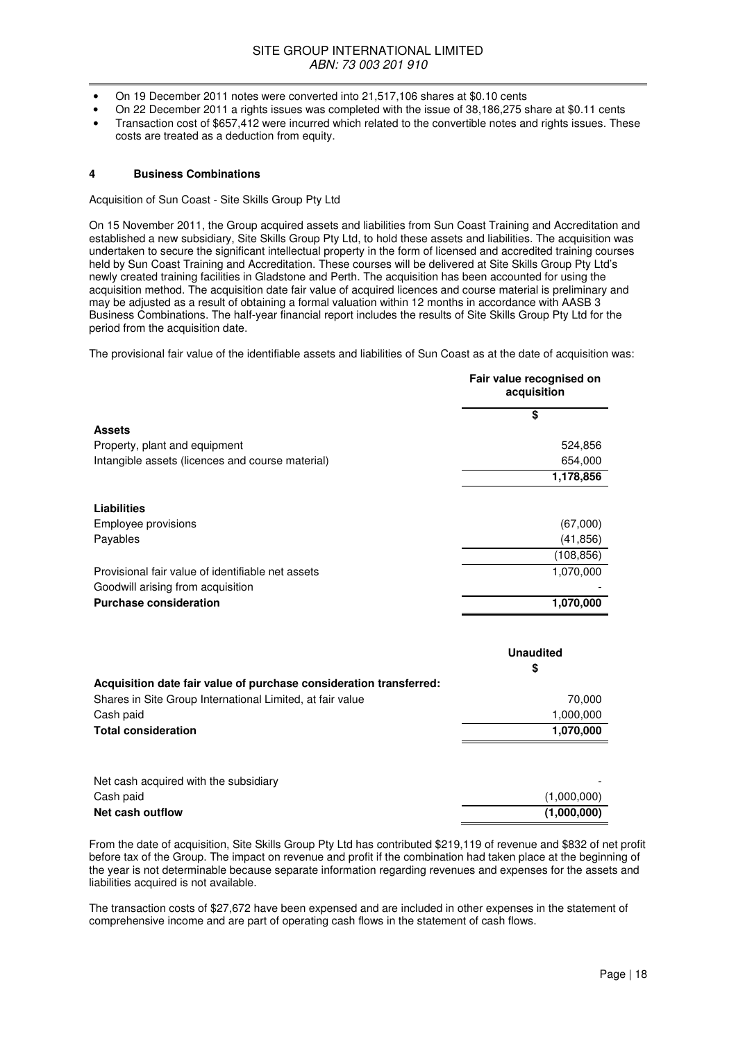- On 19 December 2011 notes were converted into 21,517,106 shares at \$0.10 cents
- On 22 December 2011 a rights issues was completed with the issue of 38,186,275 share at \$0.11 cents
- Transaction cost of \$657,412 were incurred which related to the convertible notes and rights issues. These costs are treated as a deduction from equity.

### **4 Business Combinations**

Acquisition of Sun Coast - Site Skills Group Pty Ltd

On 15 November 2011, the Group acquired assets and liabilities from Sun Coast Training and Accreditation and established a new subsidiary, Site Skills Group Pty Ltd, to hold these assets and liabilities. The acquisition was undertaken to secure the significant intellectual property in the form of licensed and accredited training courses held by Sun Coast Training and Accreditation. These courses will be delivered at Site Skills Group Pty Ltd's newly created training facilities in Gladstone and Perth. The acquisition has been accounted for using the acquisition method. The acquisition date fair value of acquired licences and course material is preliminary and may be adjusted as a result of obtaining a formal valuation within 12 months in accordance with AASB 3 Business Combinations. The half-year financial report includes the results of Site Skills Group Pty Ltd for the period from the acquisition date.

The provisional fair value of the identifiable assets and liabilities of Sun Coast as at the date of acquisition was:

|                                                   | Fair value recognised on<br>acquisition |  |
|---------------------------------------------------|-----------------------------------------|--|
|                                                   | \$                                      |  |
| <b>Assets</b>                                     |                                         |  |
| Property, plant and equipment                     | 524,856                                 |  |
| Intangible assets (licences and course material)  | 654,000                                 |  |
|                                                   | 1,178,856                               |  |
| Liabilities                                       |                                         |  |
| Employee provisions                               | (67,000)                                |  |
| Payables                                          | (41, 856)                               |  |
|                                                   | (108, 856)                              |  |
| Provisional fair value of identifiable net assets | 1,070,000                               |  |
| Goodwill arising from acquisition                 |                                         |  |
| <b>Purchase consideration</b>                     | 1,070,000                               |  |

|                                                                    | <b>Unaudited</b> |  |
|--------------------------------------------------------------------|------------------|--|
|                                                                    | \$               |  |
| Acquisition date fair value of purchase consideration transferred: |                  |  |
| Shares in Site Group International Limited, at fair value          | 70,000           |  |
| Cash paid                                                          | 1,000,000        |  |
| <b>Total consideration</b>                                         | 1,070,000        |  |
|                                                                    |                  |  |
| Net cash acquired with the subsidiary                              |                  |  |
| Cash paid                                                          | (1,000,000)      |  |
| Net cash outflow                                                   | (1,000,000)      |  |

From the date of acquisition, Site Skills Group Pty Ltd has contributed \$219,119 of revenue and \$832 of net profit before tax of the Group. The impact on revenue and profit if the combination had taken place at the beginning of the year is not determinable because separate information regarding revenues and expenses for the assets and liabilities acquired is not available.

The transaction costs of \$27,672 have been expensed and are included in other expenses in the statement of comprehensive income and are part of operating cash flows in the statement of cash flows.